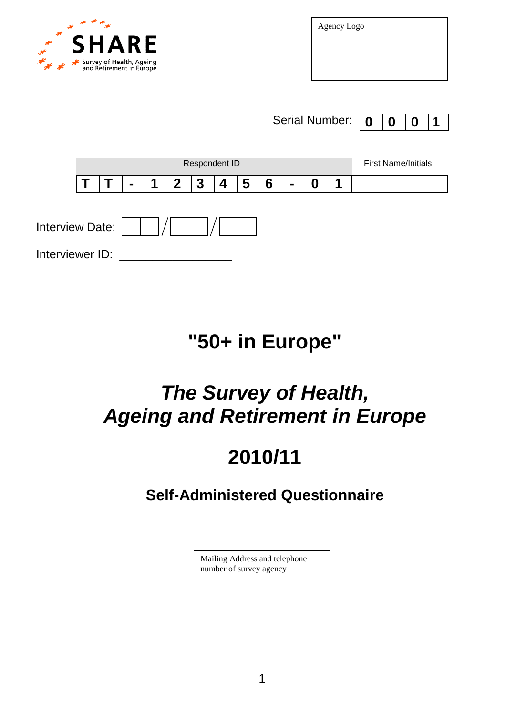

Agency Logo

Serial Number: **0 0 0 1**



## **"50+ in Europe"**

# *The Survey of Health, Ageing and Retirement in Europe*

# **2010/11**

## **Self-Administered Questionnaire**

Mailing Address and telephone number of survey agency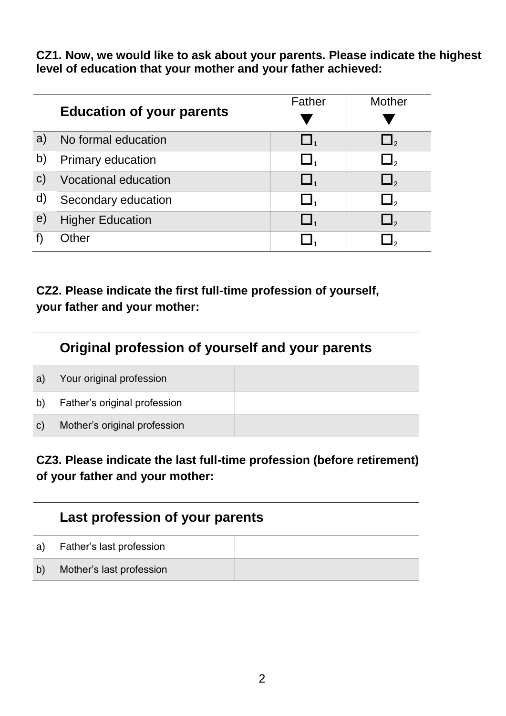**CZ1. Now, we would like to ask about your parents. Please indicate the highest level of education that your mother and your father achieved:**

|              |                                  | Father | <b>Mother</b> |
|--------------|----------------------------------|--------|---------------|
|              | <b>Education of your parents</b> |        |               |
| a)           | No formal education              | $\Box$ | $\Box$        |
| b)           | <b>Primary education</b>         | $\Box$ | $\Box$ ,      |
| $\mathbf{C}$ | <b>Vocational education</b>      | $\Box$ | $\Box$        |
| d)           | Secondary education              |        | $\Box$        |
| $\epsilon$   | <b>Higher Education</b>          |        | $\Box$ ,      |
|              | <b>Other</b>                     |        |               |

### **CZ2. Please indicate the first full-time profession of yourself, your father and your mother:**

## **Original profession of yourself and your parents**

| a)           | Your original profession     |  |
|--------------|------------------------------|--|
| b)           | Father's original profession |  |
| $\mathbf{C}$ | Mother's original profession |  |

### **CZ3. Please indicate the last full-time profession (before retirement) of your father and your mother:**

## **Last profession of your parents**

| a) | Father's last profession |  |
|----|--------------------------|--|
| b) | Mother's last profession |  |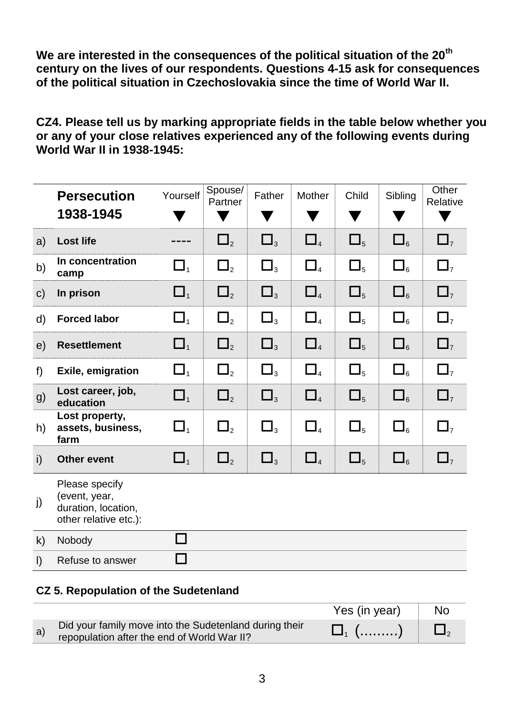**We are interested in the consequences of the political situation of the 20th century on the lives of our respondents. Questions 4-15 ask for consequences of the political situation in Czechoslovakia since the time of World War II.**

**CZ4. Please tell us by marking appropriate fields in the table below whether you or any of your close relatives experienced any of the following events during World War II in 1938-1945:**

|              | <b>Persecution</b><br>1938-1945                                                 | Yourself                       | Spouse/<br>Partner | Father         | Mother     | Child         | Sibling                           | Other<br>Relative   |
|--------------|---------------------------------------------------------------------------------|--------------------------------|--------------------|----------------|------------|---------------|-----------------------------------|---------------------|
| a)           | <b>Lost life</b>                                                                |                                | $\Box_2$           | $\Box_3$       | $\Box_{4}$ | $\Box_5$      | $\square_{\scriptscriptstyle{6}}$ | $\square$           |
| b)           | In concentration<br>camp                                                        | $\Box_{\scriptscriptstyle{1}}$ | $\Box_{2}$         | $\square_{_3}$ | $\Box_{4}$ | $\square_{5}$ | $\square_{6}$                     | $\square$           |
| $\mathsf{C}$ | In prison                                                                       | $\Box_1$                       | $\Box_2$           | $\Box_3$       | $\Box_{4}$ | $\Box_5$      | $\square_{6}$                     | $\Box$ <sub>7</sub> |
| d)           | <b>Forced labor</b>                                                             | $\Box_{\scriptscriptstyle{1}}$ | $\Box_2$           | $\Box_3$       | $\Box_{4}$ | $\square_{5}$ | $\square_{\scriptscriptstyle{6}}$ | $\Box$              |
| e)           | <b>Resettlement</b>                                                             | $\Box_1$                       | $\Box_2$           | $\Box_3$       | $\Box_{4}$ | $\Box_5$      | $\square_{6}$                     | $\Box$ <sub>7</sub> |
| f            | <b>Exile, emigration</b>                                                        | $\Box_{\scriptscriptstyle{1}}$ | $\Box_2$           | $\Box_3$       | $\Box_{4}$ | $\Box_5$      | $\square_{6}$                     | $\Box$              |
| g)           | Lost career, job,<br>education                                                  | $\Box_1$                       | $\Box_2$           | $\Box_3$       | $\Box_{4}$ | $\Box_5$      | $\square_{\scriptscriptstyle{6}}$ | $\square$           |
| h)           | Lost property,<br>assets, business,<br>farm                                     | $\Box_{\scriptscriptstyle{1}}$ | $\Box$ ,           | $\Box_3$       | $\Box_{4}$ | $\Box_5$      | $\square_{6}$                     | $\Box$              |
| i)           | <b>Other event</b>                                                              | $\Box_1$                       | $\Box_2$           | $\Box_3$       | $\Box_{4}$ | $\Box_5$      | $\square_{\scriptscriptstyle{6}}$ | $\square$           |
| j)           | Please specify<br>(event, year,<br>duration, location,<br>other relative etc.): |                                |                    |                |            |               |                                   |                     |
| $\mathsf{k}$ | Nobody                                                                          |                                |                    |                |            |               |                                   |                     |
| $\vert$      | Refuse to answer                                                                |                                |                    |                |            |               |                                   |                     |

#### **CZ 5. Repopulation of the Sudetenland**

|    |                                                                                                       | Yes (in year) | No |
|----|-------------------------------------------------------------------------------------------------------|---------------|----|
| a) | Did your family move into the Sudetenland during their<br>repopulation after the end of World War II? | $\Box_1$ ()   |    |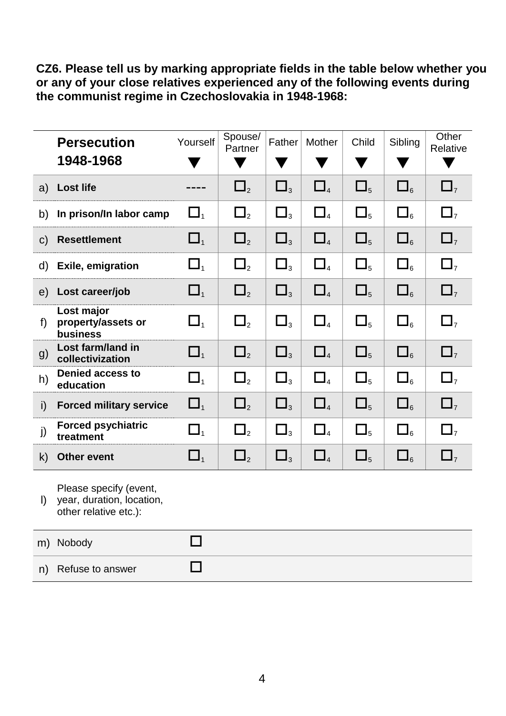**CZ6. Please tell us by marking appropriate fields in the table below whether you or any of your close relatives experienced any of the following events during the communist regime in Czechoslovakia in 1948-1968:**

|              | <b>Persecution</b><br>1948-1968                                              | Yourself                         | Spouse/<br>Partner | Father              | Mother                           | Child         | Sibling                           | Other<br>Relative   |
|--------------|------------------------------------------------------------------------------|----------------------------------|--------------------|---------------------|----------------------------------|---------------|-----------------------------------|---------------------|
| a)           | <b>Lost life</b>                                                             |                                  | $\Box_2$           | $\Box$ <sub>3</sub> | $\Box_4$                         | $\Box_5$      | $\square_{6}$                     | $\Box$ <sub>7</sub> |
| b)           | In prison/In labor camp                                                      | $\Box_{\scriptscriptstyle{1}}$   | $\square_{2}$      | $\Box_3$            | $\Box_{\scriptscriptstyle 4}$    | $\Box_5$      | $\square_{6}$                     | $\Box$              |
| $\mathsf{C}$ | <b>Resettlement</b>                                                          | $\square_{\scriptscriptstyle 1}$ | $\square_{2}$      | $\Box_3$            | $\square$                        | $\square_{5}$ | $\square_{6}$                     | $\Box$ <sub>7</sub> |
| d)           | <b>Exile, emigration</b>                                                     | $\Box_1$                         | $\square_{2}$      | $\Box_3$            | $\Box_{\scriptscriptstyle 4}$    | $\Box_5$      | $\square_{6}$                     | $\Box$              |
| e)           | Lost career/job                                                              | $\square_{1}$                    | $\square_{2}$      | $\Box_3$            | $\square_{\scriptscriptstyle 4}$ | $\Box_5$      | $\square_{6}$                     | $\Box$              |
| f)           | Lost major<br>property/assets or<br>business                                 | $\Box_1$                         | $\square_{2}$      | $\square_{_3}$      | $\Box_{\scriptscriptstyle 4}$    | $\square_{5}$ | $\square_{6}$                     | $\Box$              |
| g)           | <b>Lost farm/land in</b><br>collectivization                                 | $\Box_1$                         | $\Box_2$           | $\Box_3$            | $\Box_{\scriptscriptstyle 4}$    | $\Box_5$      | $\square_{6}$                     | $\Box$              |
| h)           | <b>Denied access to</b><br>education                                         | $\Box_{\scriptscriptstyle{1}}$   | $\square_{2}$      | $\Box_3$            | $\Box_{\scriptscriptstyle 4}$    | $\square_{5}$ | $\square_{6}$                     | $\Box$              |
| i)           | <b>Forced military service</b>                                               | $\Box_1$                         | $\Box_2$           | $\Box_3$            | $\square_{\scriptscriptstyle 4}$ | $\Box_5$      | $\square_{6}$                     | $\Box$              |
| j)           | <b>Forced psychiatric</b><br>treatment                                       | $\Box_{\scriptscriptstyle{1}}$   | $\square_{2}$      | $\Box_3$            | $\Box_{\scriptscriptstyle 4}$    | $\Box_5$      | $\square_{6}$                     | $\Box$              |
| $\mathsf{k}$ | <b>Other event</b>                                                           | $\Box_1$                         | $\square_{2}$      | $\Box_3$            | $\Box_{\scriptscriptstyle 4}$    | $\square_{5}$ | $\square_{\scriptscriptstyle{6}}$ | $\Box$              |
| $\mathsf{I}$ | Please specify (event,<br>year, duration, location,<br>other relative etc.): |                                  |                    |                     |                                  |               |                                   |                     |
|              | m) Nobody                                                                    |                                  |                    |                     |                                  |               |                                   |                     |
| n)           | Refuse to answer                                                             |                                  |                    |                     |                                  |               |                                   |                     |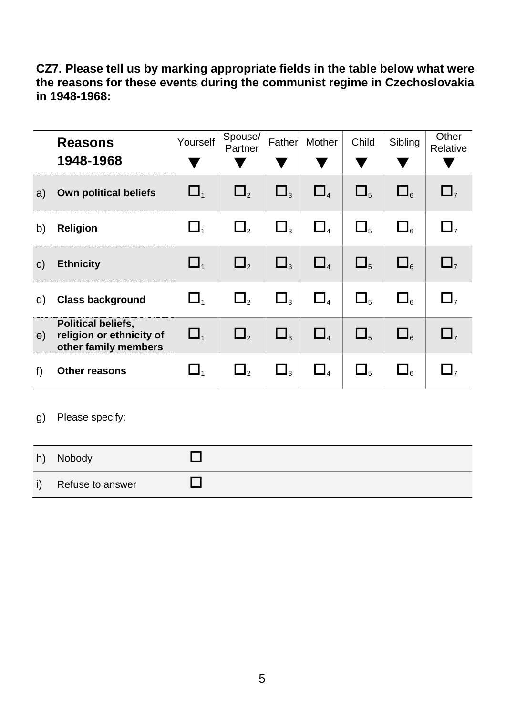**CZ7. Please tell us by marking appropriate fields in the table below what were the reasons for these events during the communist regime in Czechoslovakia in 1948-1968:**

|              | <b>Reasons</b><br>1948-1968                                                   | Yourself                       | Spouse/<br>Partner | Father              | Mother                         | Child    | Sibling            | Other<br>Relative |
|--------------|-------------------------------------------------------------------------------|--------------------------------|--------------------|---------------------|--------------------------------|----------|--------------------|-------------------|
| a)           | <b>Own political beliefs</b>                                                  | $\Box$ <sub>1</sub>            | $\Box_2$           | $\Box_3$            | $\Box$ <sub>4</sub>            | $\Box_5$ | $\Box_{\kappa}$    | $\Box$            |
| b)           | <b>Religion</b>                                                               | $\Box_{\scriptscriptstyle{1}}$ | $\Box_2$           | $\Box_3$            | $\Box_{4}$                     | $\Box_5$ | $\square_{\kappa}$ | $\Box$            |
| $\mathsf{C}$ | <b>Ethnicity</b>                                                              | $\Box$ <sub>1</sub>            | $\Box$ ,           | $\square_{3}$       | $\Box_{\scriptscriptstyle{4}}$ | $\Box_5$ | $\square_{\kappa}$ | $\Box$            |
| d)           | <b>Class background</b>                                                       | $\Box$                         | $\Box_2$           | $\Box$ <sub>3</sub> | $\Box_{\scriptscriptstyle{A}}$ | $\Box_5$ | $\square_{\kappa}$ | $\Box$            |
| e)           | <b>Political beliefs,</b><br>religion or ethnicity of<br>other family members | $\Box$ <sub>1</sub>            | $\Box$             | $\Box$ <sub>3</sub> | $\Box_{4}$                     | $\Box_5$ | $\square_{6}$      | $\Box$            |
| f)           | <b>Other reasons</b>                                                          | $\Box_{\scriptscriptstyle{1}}$ | $\Box$ ,           | $\Box_3$            | $\Box_{4}$                     | $\Box_5$ | $\Box_{6}$         | $\Box$            |

g) Please specify:

| h)           | Nobody           |  |
|--------------|------------------|--|
| $\mathsf{i}$ | Refuse to answer |  |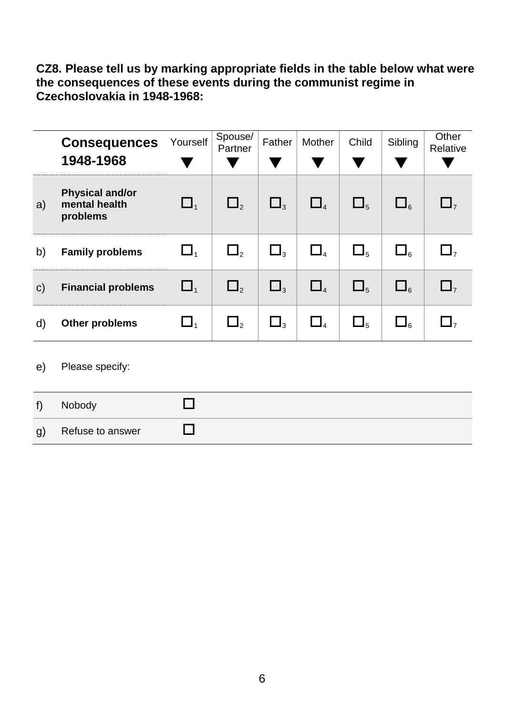**CZ8. Please tell us by marking appropriate fields in the table below what were the consequences of these events during the communist regime in Czechoslovakia in 1948-1968:**

|              | <b>Consequences</b><br>1948-1968                    | Yourself            | Spouse/<br>Partner | Father   | Mother                         | Child         | Sibling         | Other<br>Relative |
|--------------|-----------------------------------------------------|---------------------|--------------------|----------|--------------------------------|---------------|-----------------|-------------------|
| a)           | <b>Physical and/or</b><br>mental health<br>problems | $\Box_1$            | $\Box$             | $\Box_3$ | $\Box$ <sub>4</sub>            | $\Box_{5}$    | $\Box_{\kappa}$ | $\mathsf{L}$      |
| b)           | <b>Family problems</b>                              | $\Box$ <sub>1</sub> | $\Box$ ,           | $\Box_3$ | $\Box_{\scriptscriptstyle{4}}$ | $\square_{5}$ | $\Box_{\kappa}$ | $\Box$            |
| $\mathsf{C}$ | <b>Financial problems</b>                           | $\Box$ <sub>1</sub> | $\Box$ ,           | $\Box_3$ | $\Box$ <sub>4</sub>            | $\Box_5$      | $\Box_{\kappa}$ | $\Box$            |
| d)           | <b>Other problems</b>                               | $\Box$ <sub>1</sub> | $\Box$ ,           | $\Box_3$ | $\Box_4$                       | $\Box_5$      | $\Box_{6}$      | $\Box$            |

e) Please specify:

| $f \setminus$ | Nobody           |  |
|---------------|------------------|--|
| g)            | Refuse to answer |  |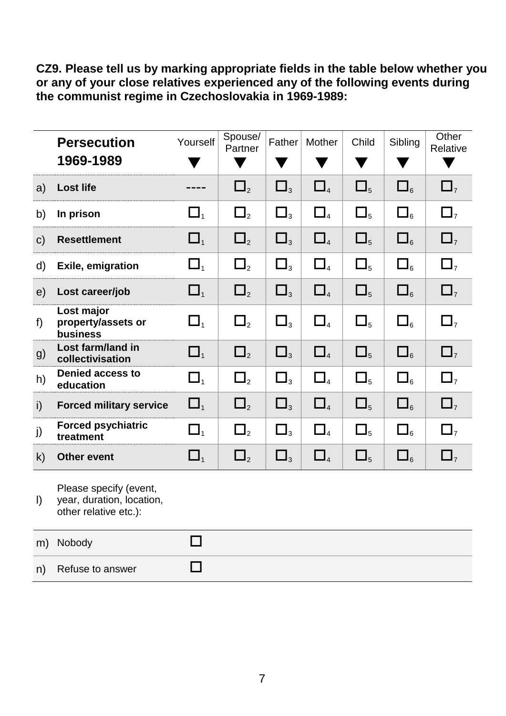**CZ9. Please tell us by marking appropriate fields in the table below whether you or any of your close relatives experienced any of the following events during the communist regime in Czechoslovakia in 1969-1989:**

|              | <b>Persecution</b><br>1969-1989                                              | Yourself                       | Spouse/<br>Partner | Father   | Mother                           | Child         | Sibling                           | Other<br>Relative   |
|--------------|------------------------------------------------------------------------------|--------------------------------|--------------------|----------|----------------------------------|---------------|-----------------------------------|---------------------|
| a)           | <b>Lost life</b>                                                             |                                | $\square_{2}$      | $\Box_3$ | $\square$ <sub>4</sub>           | $\square_{5}$ | $\square_{\scriptscriptstyle{6}}$ | $\square$           |
| b)           | In prison                                                                    | $\Box$                         | $\Box_2$           | $\Box_3$ | $\Box_{\scriptscriptstyle{4}}$   | $\Box_5$      | $\square_{6}$                     | $\Box$              |
| $\mathsf{C}$ | <b>Resettlement</b>                                                          | $\Box_1$                       | $\square_{2}$      | $\Box_3$ | $\Box_4$                         | $\square_{5}$ | $\square_{6}$                     | $\Box$              |
| d)           | <b>Exile, emigration</b>                                                     | $\Box$                         | $\Box$ ,           | $\Box_3$ | $\Box_{\scriptscriptstyle{4}}$   | $\square_{5}$ | $\square_{6}$                     | $\Box$ <sub>7</sub> |
| e)           | Lost career/job                                                              | $\Box_1$                       | $\square_{2}$      | $\Box_3$ | $\square_{\scriptscriptstyle 4}$ | $\Box_5$      | $\square_{\scriptscriptstyle{6}}$ | $\square$           |
| f)           | Lost major<br>property/assets or<br>business                                 | $\Box$                         | $\Box_2$           | $\Box_3$ | $\Box_{\scriptscriptstyle{4}}$   | $\Box_5$      | $\square_{\kappa}$                | $\Box$              |
| g)           | Lost farm/land in<br>collectivisation                                        | $\Box_1$                       | $\Box_2$           | $\Box_3$ | $\square$                        | $\square_{5}$ | $\square_{6}$                     | $\square$           |
| h)           | <b>Denied access to</b><br>education                                         | $\Box$ <sub>1</sub>            | $\Box_2$           | $\Box_3$ | $\square$ <sub>4</sub>           | $\Box_5$      | $\square_{\scriptscriptstyle{6}}$ | $\Box$              |
| $\mathsf{i}$ | <b>Forced military service</b>                                               | $\Box$ <sub>1</sub>            | $\Box_2$           | $\Box_3$ | $\Box$ <sub>4</sub>              | $\Box_5$      | $\square_{6}$                     | $\Box$ <sub>7</sub> |
| j)           | <b>Forced psychiatric</b><br>treatment                                       | $\Box$                         | $\Box$ ,           | $\Box_3$ | $\Box_{4}$                       | $\Box_5$      | $\square_{\kappa}$                | $\Box$              |
| k)           | <b>Other event</b>                                                           | $\Box_{\scriptscriptstyle{1}}$ | $\Box_2$           | $\Box_3$ | $\Box_{\scriptscriptstyle 4}$    | $\square_{5}$ | $\square_{\scriptscriptstyle{6}}$ | $\Box$ <sub>7</sub> |
| $\vert$      | Please specify (event,<br>year, duration, location,<br>other relative etc.): |                                |                    |          |                                  |               |                                   |                     |
| m)           | Nobody                                                                       |                                |                    |          |                                  |               |                                   |                     |
| n)           | Refuse to answer                                                             | $\mathbb{Z}^2$                 |                    |          |                                  |               |                                   |                     |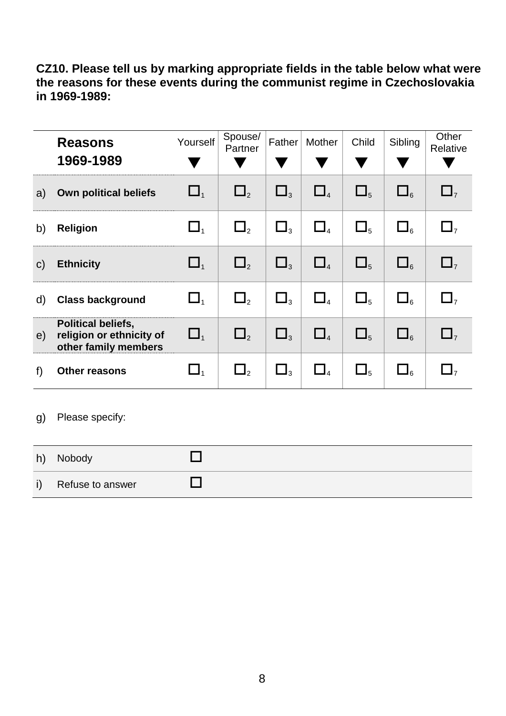**CZ10. Please tell us by marking appropriate fields in the table below what were the reasons for these events during the communist regime in Czechoslovakia in 1969-1989:**

|              | <b>Reasons</b><br>1969-1989                                                   | Yourself                       | Spouse/<br>Partner | Father              | Mother                         | Child         | Sibling            | Other<br>Relative |
|--------------|-------------------------------------------------------------------------------|--------------------------------|--------------------|---------------------|--------------------------------|---------------|--------------------|-------------------|
| a)           | <b>Own political beliefs</b>                                                  | $\Box$ <sub>1</sub>            | $\Box_2$           | $\Box$ <sub>3</sub> | $\Box$                         | $\Box_5$      | $\square_{6}$      | $\Box$            |
| b)           | <b>Religion</b>                                                               | $\Box_{\scriptscriptstyle{1}}$ | $\Box$ ,           | $\Box_3$            | $\Box_{\scriptscriptstyle{A}}$ | $\Box_5$      | $\square_{6}$      | $\Box$            |
| $\mathsf{C}$ | <b>Ethnicity</b>                                                              | $\Box$ <sub>1</sub>            | $\Box$ ,           | $\Box_3$            | $\Box_{\scriptscriptstyle{4}}$ | $\square_{5}$ | $\square_{\kappa}$ | $\Box$            |
| d)           | <b>Class background</b>                                                       | $\Box_{\scriptscriptstyle{1}}$ | $\Box$ ,           | $\Box$ <sub>3</sub> | $\Box$ <sub>4</sub>            | $\Box_{5}$    | $\square_{\kappa}$ | $\Box$            |
| e)           | <b>Political beliefs,</b><br>religion or ethnicity of<br>other family members | $\Box$ <sub>1</sub>            | $\Box$ ,           | $\Box$ <sub>3</sub> | $\Box$                         | $\Box_{5}$    | $\square_{6}$      | $\Box$            |
| f)           | <b>Other reasons</b>                                                          | $\Box_{1}$                     | $\Box$ ,           | $\Box$ <sub>3</sub> | $\Box$                         | $\square_{5}$ | $\square_{\kappa}$ | $\Box$            |

g) Please specify:

| h) | Nobody           |  |
|----|------------------|--|
| i) | Refuse to answer |  |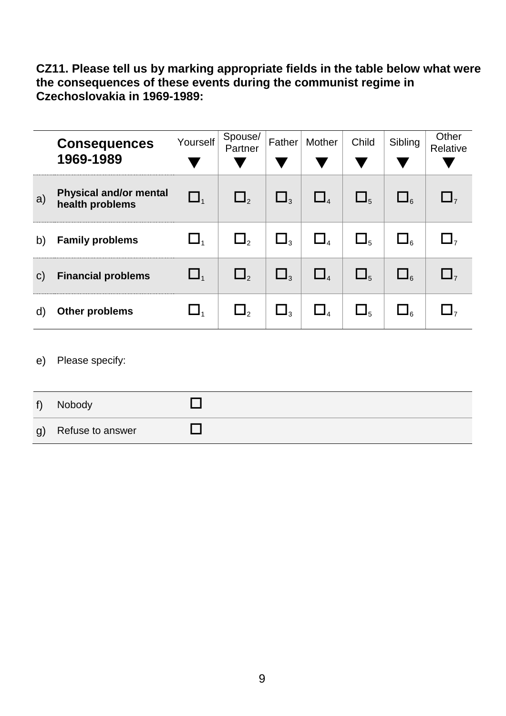**CZ11. Please tell us by marking appropriate fields in the table below what were the consequences of these events during the communist regime in Czechoslovakia in 1969-1989:**

|              | <b>Consequences</b><br>1969-1989                 | Yourself            | Spouse/<br>Partner | Father              | Mother   | Child         | Sibling         | Other<br>Relative |
|--------------|--------------------------------------------------|---------------------|--------------------|---------------------|----------|---------------|-----------------|-------------------|
| a)           | <b>Physical and/or mental</b><br>health problems | $\Box$ <sub>1</sub> | $\Box_2$           | $\Box$ <sub>3</sub> | $\Box$   | $\Box_5$      | $\Box_{6}$      | $\Box$            |
| b)           | <b>Family problems</b>                           | $\Box_1$            | $\Box$ ,           | $\Box$ <sub>3</sub> | $\Box_4$ | $\square_{5}$ | $\Box_{\kappa}$ | $\Box$            |
| $\mathsf{C}$ | <b>Financial problems</b>                        | $\Box$ <sub>1</sub> | $\Box$ ,           | $\Box$ <sub>3</sub> | $\Box$   | $\Box_{5}$    | $\Box_{\kappa}$ | $\mathbf{L}$      |
| d)           | <b>Other problems</b>                            | $\Box$              | $\mathsf{L}_2$     | $\Box_3$            | $\Box$   | $\Box_5$      | $\Box$          | $\Box$            |

e) Please specify:

| $f$ ) | Nobody              |  |
|-------|---------------------|--|
|       | g) Refuse to answer |  |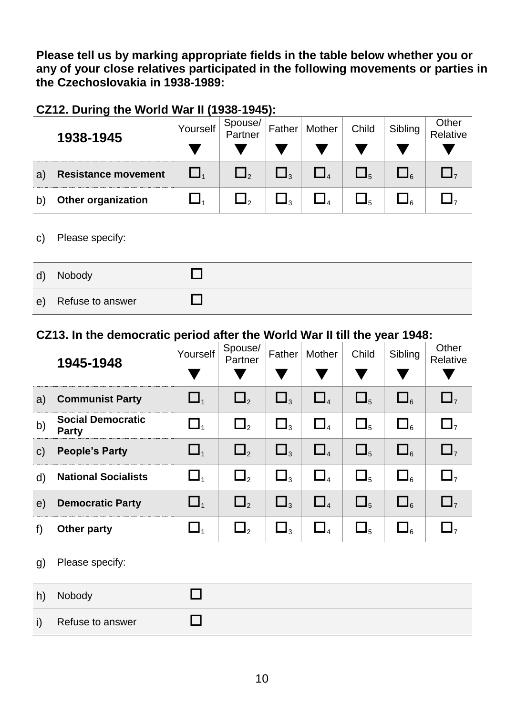**Please tell us by marking appropriate fields in the table below whether you or any of your close relatives participated in the following movements or parties in the Czechoslovakia in 1938-1989:**

#### **CZ12. During the World War II (1938-1945):**

|    | 1938-1945                  | Yourself | Spouse/<br>Partner  | Father | Mother | Child | Sibling | Other<br>Relative |
|----|----------------------------|----------|---------------------|--------|--------|-------|---------|-------------------|
|    |                            |          |                     |        |        |       |         |                   |
| a) | <b>Resistance movement</b> |          | $\Box$ <sub>2</sub> | 3.     |        |       | ء∎      |                   |
|    | Other organization         |          | ┛                   | ⊿ ג    |        | 5 ك   | ∍נ      |                   |

#### c) Please specify:

| $\mathsf{d}$ | Nobody           |  |
|--------------|------------------|--|
| $\epsilon$   | Refuse to answer |  |

#### **CZ13. In the democratic period after the World War II till the year 1948:**

|              | 1945-1948                                | Yourself                       | Spouse/<br>Partner | Father              | Mother                         | Child      | Sibling            | Other<br>Relative |
|--------------|------------------------------------------|--------------------------------|--------------------|---------------------|--------------------------------|------------|--------------------|-------------------|
| a)           | <b>Communist Party</b>                   | $\Box_1$                       | $\Box$             | $\Box$ <sub>3</sub> | $\Box$                         | $\Box_5$   | $\Box_{\kappa}$    | $\mathbf{L}$      |
| b)           | <b>Social Democratic</b><br><b>Party</b> | $\Box_{\scriptscriptstyle{1}}$ | $\Box_2$           | $\Box_3$            | $\Box$                         | $\Box_5$   | $\Box_{\kappa}$    | $\Box$            |
| $\mathsf{C}$ | <b>People's Party</b>                    | $\Box$                         | $\Box$             | $\square$           | $\Box$ <sub>4</sub>            | $\Box_{5}$ | $\square_{\kappa}$ | $\Box$            |
| $\mathsf{d}$ | <b>National Socialists</b>               | $\Box$                         | $\Box$ ,           | $\Box$ <sub>3</sub> | $\Box_{\scriptscriptstyle{A}}$ | $\Box_{5}$ | $\square_{\kappa}$ | $\Box$            |
| e)           | <b>Democratic Party</b>                  | $\Box$ <sub>1</sub>            | $\Box$             | $\Box_3$            | $\Box_{4}$                     | $\Box_5$   | $\square_{\kappa}$ | $\Box$            |
| f)           | Other party                              | $\Box$ <sub>1</sub>            | $\Box$             | $\Box_3$            | $\Box$                         | $\Box_5$   | $\Box$             | $\Box$            |

g) Please specify:

| h) | Nobody           |  |
|----|------------------|--|
|    | Refuse to answer |  |